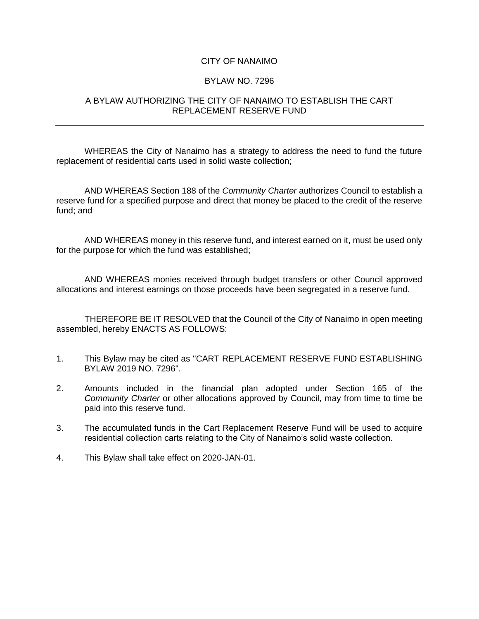## CITY OF NANAIMO

## BYLAW NO. 7296

## A BYLAW AUTHORIZING THE CITY OF NANAIMO TO ESTABLISH THE CART REPLACEMENT RESERVE FUND

WHEREAS the City of Nanaimo has a strategy to address the need to fund the future replacement of residential carts used in solid waste collection;

AND WHEREAS Section 188 of the *Community Charter* authorizes Council to establish a reserve fund for a specified purpose and direct that money be placed to the credit of the reserve fund; and

AND WHEREAS money in this reserve fund, and interest earned on it, must be used only for the purpose for which the fund was established;

AND WHEREAS monies received through budget transfers or other Council approved allocations and interest earnings on those proceeds have been segregated in a reserve fund.

THEREFORE BE IT RESOLVED that the Council of the City of Nanaimo in open meeting assembled, hereby ENACTS AS FOLLOWS:

- 1. This Bylaw may be cited as "CART REPLACEMENT RESERVE FUND ESTABLISHING BYLAW 2019 NO. 7296".
- 2. Amounts included in the financial plan adopted under Section 165 of the *Community Charter* or other allocations approved by Council, may from time to time be paid into this reserve fund.
- 3. The accumulated funds in the Cart Replacement Reserve Fund will be used to acquire residential collection carts relating to the City of Nanaimo's solid waste collection.
- 4. This Bylaw shall take effect on 2020-JAN-01.